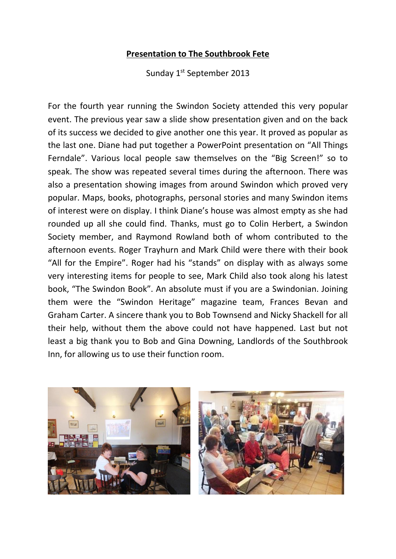## **Presentation to The Southbrook Fete**

Sunday 1<sup>st</sup> September 2013

For the fourth year running the Swindon Society attended this very popular event. The previous year saw a slide show presentation given and on the back of its success we decided to give another one this year. It proved as popular as the last one. Diane had put together a PowerPoint presentation on "All Things Ferndale". Various local people saw themselves on the "Big Screen!" so to speak. The show was repeated several times during the afternoon. There was also a presentation showing images from around Swindon which proved very popular. Maps, books, photographs, personal stories and many Swindon items of interest were on display. I think Diane's house was almost empty as she had rounded up all she could find. Thanks, must go to Colin Herbert, a Swindon Society member, and Raymond Rowland both of whom contributed to the afternoon events. Roger Trayhurn and Mark Child were there with their book "All for the Empire". Roger had his "stands" on display with as always some very interesting items for people to see, Mark Child also took along his latest book, "The Swindon Book". An absolute must if you are a Swindonian. Joining them were the "Swindon Heritage" magazine team, Frances Bevan and Graham Carter. A sincere thank you to Bob Townsend and Nicky Shackell for all their help, without them the above could not have happened. Last but not least a big thank you to Bob and Gina Downing, Landlords of the Southbrook Inn, for allowing us to use their function room.



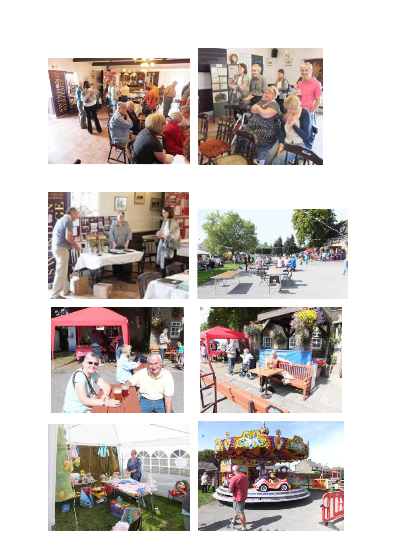